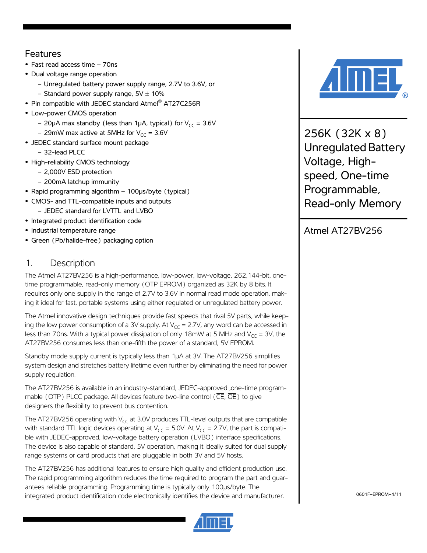### Features

- **•** Fast read access time 70ns
- **•** Dual voltage range operation
	- Unregulated battery power supply range, 2.7V to 3.6V, or
	- Standard power supply range,  $5V \pm 10\%$
- **•** Pin compatible with JEDEC standard Atmel® AT27C256R
- **•** Low-power CMOS operation
	- 20µA max standby (less than 1µA, typical) for  $V_{CC}$  = 3.6V
	- 29mW max active at 5MHz for  $V_{CC}$  = 3.6V
- **•** JEDEC standard surface mount package
	- 32-lead PLCC
- **•** High-reliability CMOS technology
	- 2,000V ESD protection
	- 200mA latchup immunity
- **•** Rapid programming algorithm 100µs/byte (typical)
- **•** CMOS- and TTL-compatible inputs and outputs
	- JEDEC standard for LVTTL and LVBO
- **•** Integrated product identification code
- **•** Industrial temperature range
- **•** Green (Pb/halide-free) packaging option

### 1. Description

The Atmel AT27BV256 is a high-performance, low-power, low-voltage, 262,144-bit, onetime programmable, read-only memory (OTP EPROM) organized as 32K by 8 bits. It requires only one supply in the range of 2.7V to 3.6V in normal read mode operation, making it ideal for fast, portable systems using either regulated or unregulated battery power.

The Atmel innovative design techniques provide fast speeds that rival 5V parts, while keeping the low power consumption of a 3V supply. At  $V_{CC} = 2.7V$ , any word can be accessed in less than 70ns. With a typical power dissipation of only 18mW at 5 MHz and  $V_{CC} = 3V$ , the AT27BV256 consumes less than one-fifth the power of a standard, 5V EPROM.

Standby mode supply current is typically less than 1µA at 3V. The AT27BV256 simplifies system design and stretches battery lifetime even further by eliminating the need for power supply regulation.

The AT27BV256 is available in an industry-standard, JEDEC-approved ,one-time programmable (OTP) PLCC package. All devices feature two-line control ( $\overline{\text{CE}}, \overline{\text{OE}}$ ) to give designers the flexibility to prevent bus contention.

The AT27BV256 operating with  $V_{\text{CC}}$  at 3.0V produces TTL-level outputs that are compatible with standard TTL logic devices operating at  $V_{CC} = 5.0V$ . At  $V_{CC} = 2.7V$ , the part is compatible with JEDEC-approved, low-voltage battery operation (LVBO) interface specifications. The device is also capable of standard, 5V operation, making it ideally suited for dual supply range systems or card products that are pluggable in both 3V and 5V hosts.

The AT27BV256 has additional features to ensure high quality and efficient production use. The rapid programming algorithm reduces the time required to program the part and guarantees reliable programming. Programming time is typically only 100µs/byte. The integrated product identification code electronically identifies the device and manufacturer.





256K (32K x 8) Unregulated Battery Voltage, Highspeed, One-time Programmable, Read-only Memory

## Atmel AT27BV256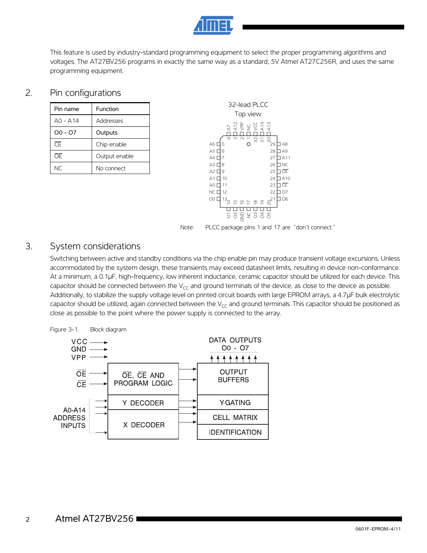

This feature is used by industry-standard programming equipment to select the proper programming algorithms and voltages. The AT27BV256 programs in exactly the same way as a standard, 5V Atmel AT27C256R, and uses the same programming equipment.

### 2. Pin configurations

| Pin name   | Function      |
|------------|---------------|
| $AD - A14$ | Addresses     |
| $00 - 07$  | Outputs       |
| σF         | Chip enable   |
| ŌF         | Output enable |
| NC         | No connect    |





### 3. System considerations

Switching between active and standby conditions via the chip enable pin may produce transient voltage excursions. Unless accommodated by the system design, these transients may exceed datasheet limits, resulting in device non-conformance. At a minimum, a 0.1µF, high-frequency, low inherent inductance, ceramic capacitor should be utilized for each device. This capacitor should be connected between the  $V_{CC}$  and ground terminals of the device, as close to the device as possible. Additionally, to stabilize the supply voltage level on printed circuit boards with large EPROM arrays, a 4.7µF bulk electrolytic capacitor should be utilized, again connected between the  $V_{CC}$  and ground terminals. This capacitor should be positioned as close as possible to the point where the power supply is connected to the array.



#### 2 Atmel AT27BV256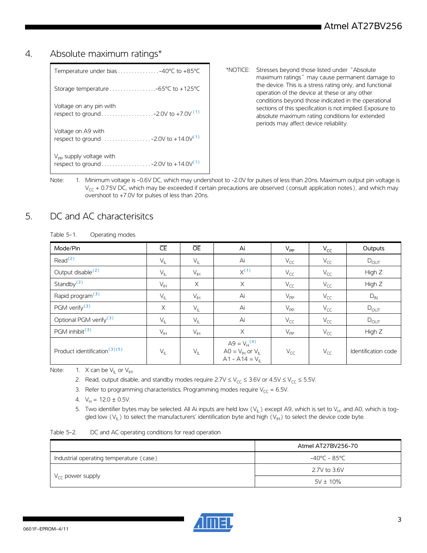### 4. Absolute maximum ratings\*

| $V_{\text{pp}}$ supply voltage with                                                                  |
|------------------------------------------------------------------------------------------------------|
| Voltage on A9 with<br>respect to ground $\ldots \ldots \ldots \ldots -2.0V$ to +14.0V <sup>(1)</sup> |
| Voltage on any pin with                                                                              |
|                                                                                                      |
| Temperature under bias $\ldots \ldots \ldots \ldots -40^{\circ}C$ to +85 $^{\circ}C$                 |

- \*NOTICE: Stresses beyond those listed under "Absolute maximum ratings" may cause permanent damage to the device. This is a stress rating only, and functional operation of the device at these or any other conditions beyond those indicated in the operational sections of this specification is not implied. Exposure to absolute maximum rating conditions for extended periods may affect device reliability.
- <span id="page-2-0"></span>Note: 1. Minimum voltage is -0.6V DC, which may undershoot to -2.0V for pulses of less than 20ns. Maximum output pin voltage is  $V_{CC}$  + 0.75V DC, which may be exceeded if certain precautions are observed (consult application notes), and which may overshoot to +7.0V for pulses of less than 20ns.

## 5. DC and AC characterisitcs

| Table 5-1. | Operating modes |
|------------|-----------------|
|------------|-----------------|

| Mode/Pin                                 | $\overline{\mathsf{CE}}$   | <b>OE</b>       | Ai                                                                                        | $V_{\text{PP}}$ | $V_{CC}$ | Outputs             |
|------------------------------------------|----------------------------|-----------------|-------------------------------------------------------------------------------------------|-----------------|----------|---------------------|
| Read <sup>(2)</sup>                      | $V_{IL}$                   | $V_{IL}$        | Ai                                                                                        | $V_{CC}$        | $V_{CC}$ | $D_{OUT}$           |
| Output disable <sup>(2)</sup>            | $V_{\parallel L}$          | $V_{\text{IH}}$ | $X^{(1)}$                                                                                 | $V_{CC}$        | $V_{CC}$ | High Z              |
| Standby <sup>(2)</sup>                   | $V_{\mathbb{H}}$           | $\times$        | $\times$                                                                                  | $V_{CC}$        | $V_{CC}$ | High Z              |
| Rapid program <sup>(3)</sup>             | $V_{IL}$                   | $V_{\text{IH}}$ | Ai                                                                                        | $V_{\text{PP}}$ | $V_{CC}$ | $D_{IN}$            |
| PGM verify <sup>(3)</sup>                | X                          | $V_{IL}$        | Ai                                                                                        | $V_{\text{PP}}$ | $V_{CC}$ | $D_{OUT}$           |
| Optional PGM verify <sup>(3)</sup>       | $V_{IL}$                   | $V_{IL}$        | Ai                                                                                        | $V_{CC}$        | $V_{CC}$ | $D_{OUT}$           |
| PGM inhibit <sup>(3)</sup>               | $V_{\ H}$                  | $V_{\text{IH}}$ | $\times$                                                                                  | $V_{\text{PP}}$ | $V_{CC}$ | High Z              |
| Product identification <sup>(3)(5)</sup> | $\mathsf{V}_{\mathsf{IL}}$ | $V_{\parallel}$ | $A9 = V_H^{(4)}$<br>$AO = V_{\text{IH}}$ or $V_{\text{II}}$<br>$A1 - A14 = V_{\parallel}$ | $V_{CC}$        | $V_{CC}$ | Identification code |

<span id="page-2-5"></span><span id="page-2-3"></span><span id="page-2-2"></span><span id="page-2-1"></span>Note: 1. X can be  $V_{II}$  or  $V_{III}$ .

2. Read, output disable, and standby modes require  $2.7V \le V_{CC} \le 3.6V$  or  $4.5V \le V_{CC} \le 5.5V$ .

3. Refer to programming characteristics. Programming modes require  $V_{CC} = 6.5V$ .

- 4.  $V_H = 12.0 \pm 0.5V$ .
- 5. Two identifier bytes may be selected. All Ai inputs are held low  $(V_{\parallel})$  except A9, which is set to  $V_{H}$ , and A0, which is toggled low  $(V_{II})$  to select the manufacturers' identification byte and high  $(V_{II})$  to select the device code byte.

<span id="page-2-4"></span>

| Table 5-2. | DC and AC operating conditions for read operation |  |  |
|------------|---------------------------------------------------|--|--|
|            |                                                   |  |  |

|                                         | Atmel AT27BV256-70 |
|-----------------------------------------|--------------------|
| Industrial operating temperature (case) | -40°C - 85°C       |
|                                         | 2.7V to 3.6V       |
| $V_{\text{CC}}$ power supply            | $5V \pm 10\%$      |

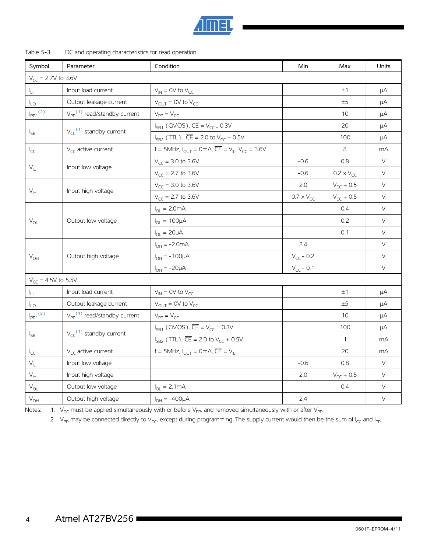

#### Table 5-3. DC and operating characteristics for read operation

| Symbol                                           | Parameter                                       | Condition                                                               | Min                 | Max                 | Units  |
|--------------------------------------------------|-------------------------------------------------|-------------------------------------------------------------------------|---------------------|---------------------|--------|
| $V_{CC} = 2.7V$ to 3.6V                          |                                                 |                                                                         |                     |                     |        |
| ŀц                                               | Input load current                              | $V_{IN}$ = 0V to $V_{CC}$                                               |                     | ±1                  | μA     |
| $\mathsf{L}_\mathsf{O}$                          | Output leakage current                          | $V_{\text{OUT}} = 0V$ to $V_{\text{CC}}$                                |                     | ±5                  | μA     |
| $\frac{I_{pp_1}(2)}{I_{pp_1}(2)}$                | $V_{\text{pp}}^{(1)}$ read/standby current      | $V_{PP} = V_{CC}$                                                       |                     | 10                  | μA     |
|                                                  |                                                 | $I_{SB1}$ (CMOS), $\overline{CE} = V_{CC\pm} 0.3V$                      |                     | 20                  | μA     |
| $I_{SB}$                                         | $V_{\text{CC}}^{(1)}$ standby current           | $I_{SB2}$ (TTL), $\overline{CE}$ = 2.0 to $V_{CC}$ + 0.5V               |                     | 100                 | μA     |
| $I_{CC}$                                         | $V_{CC}$ active current                         | f = 5MHz, $I_{OUT}$ = 0mA, $\overline{CE}$ = $V_{IL}$ , $V_{CC}$ = 3.6V |                     | 8                   | mA     |
|                                                  |                                                 | $V_{CC}$ = 3.0 to 3.6V                                                  | $-0.6$              | 0.8                 | $\vee$ |
|                                                  | $\mathsf{V}_{\mathsf{IL}}$<br>Input low voltage | $V_{CC}$ = 2.7 to 3.6V                                                  | $-0.6$              | $0.2 \times V_{CC}$ | $\vee$ |
|                                                  |                                                 | $V_{CC}$ = 3.0 to 3.6V                                                  | 2.0                 | $V_{CC} + 0.5$      | V      |
| $\mathsf{V}_{\mathsf{IH}}$                       | Input high voltage                              | $V_{CC}$ = 2.7 to 3.6V                                                  | $0.7 \times V_{CC}$ | $V_{CC} + 0.5$      | $\vee$ |
|                                                  |                                                 | $I_{OL} = 2.0mA$                                                        |                     | 0.4                 | $\vee$ |
| $\mathsf{V}_{\mathsf{OL}}$<br>Output low voltage |                                                 | $I_{OL} = 100 \mu A$                                                    |                     | 0.2                 | $\vee$ |
|                                                  |                                                 | $I_{OL} = 20 \mu A$                                                     |                     | 0.1                 | $\vee$ |
|                                                  |                                                 | $I_{OH} = -2.0mA$                                                       | 2.4                 |                     | V      |
| $V_{OH}$                                         | Output high voltage                             | $I_{OH} = -100 \mu A$                                                   | $V_{CC}$ - 0.2      |                     | $\vee$ |
|                                                  |                                                 | $I_{OH} = -20 \mu A$                                                    | $V_{CC}$ - 0.1      |                     | $\vee$ |
| $V_{CC}$ = 4.5V to 5.5V                          |                                                 |                                                                         |                     |                     |        |
| Iп                                               | Input load current                              | $V_{IN}$ = 0V to $V_{CC}$                                               |                     | ±1                  | μA     |
| l <sub>LO</sub>                                  | Output leakage current                          | $V_{OUT} = 0V$ to $V_{CC}$                                              |                     | ±5                  | μA     |
| $I_{\text{PP1}}^{(2)}$                           | $V_{\text{pp}}^{(1)}$ read/standby current      | $V_{PP} = V_{CC}$                                                       |                     | 10                  | μA     |
|                                                  |                                                 | $I_{SB1}$ (CMOS), $\overline{CE} = V_{CC} \pm 0.3V$                     |                     | 100                 | μA     |
| $I_{SB}$                                         | $V_{\text{CC}}^{(1)}$ standby current           | $I_{SB2}$ (TTL), $\overline{CE}$ = 2.0 to $V_{CC}$ + 0.5V               |                     | $\mathbf{1}$        | mA     |
| $I_{CC}$                                         | $V_{cc}$ active current                         | f = 5MHz, $I_{OUT}$ = 0mA, $\overline{CE}$ = $V_{IL}$                   |                     | 20                  | mA     |
| $V_{IL}$                                         | Input low voltage                               |                                                                         | $-0.6$              | 0.8                 | $\vee$ |
| $V_{\text{H}}$                                   | Input high voltage                              |                                                                         | 2.0                 | $V_{CC} + 0.5$      | $\vee$ |
| $\mathsf{V}_{\mathsf{OL}}$                       | Output low voltage                              | $I_{OL} = 2.1mA$                                                        |                     | 0.4                 | $\vee$ |
| $V_{OH}$                                         | Output high voltage                             | $I_{OH} = -400 \mu A$                                                   | 2.4                 |                     | $\vee$ |

<span id="page-3-1"></span><span id="page-3-0"></span>Notes: 1.  $V_{CC}$  must be applied simultaneously with or before  $V_{PP}$ , and removed simultaneously with or after  $V_{PP}$ .

2. V<sub>PP</sub> may be connected directly to V<sub>CC</sub>, except during programming. The supply current would then be the sum of I<sub>CC</sub> and I<sub>PP</sub>.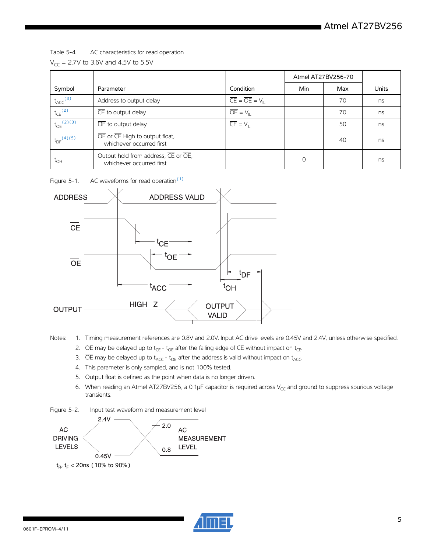### Table 5-4. AC characteristics for read operation  $V_{CC}$  = 2.7V to 3.6V and 4.5V to 5.5V

|                            |                                                                 |                                                 | Atmel AT27BV256-70 |     |       |
|----------------------------|-----------------------------------------------------------------|-------------------------------------------------|--------------------|-----|-------|
| Symbol                     | Parameter                                                       | Condition                                       | Min                | Max | Units |
| $t_{\text{ACC}}^{(3)}$     | Address to output delay                                         | $\overline{CE} = \overline{OE} = V_{\parallel}$ |                    | 70  | ns    |
| $t_{CE}$ <sup>(2)</sup>    | $\overline{\mathsf{CE}}$ to output delay                        | $\overline{OE} = VII$                           |                    | 70  | ns    |
| $t_{OE}^{(2)(3)}$          | OE to output delay                                              | $\overline{CE} = V_{\parallel}$                 |                    | 50  | ns    |
| $t_{DF}$ <sup>(4)(5)</sup> | OE or CE High to output float,<br>whichever occurred first      |                                                 |                    | 40  | ns    |
| $\tau_{\text{OH}}$         | Output hold from address, CE or OE,<br>whichever occurred first |                                                 | $\Omega$           |     | ns    |

Figure 5-1. AC waveforms for read operation $(1)$ 



<span id="page-4-4"></span><span id="page-4-1"></span><span id="page-4-0"></span>Notes: 1. Timing measurement references are 0.8V and 2.0V. Input AC drive levels are 0.45V and 2.4V, unless otherwise specified.

- 2.  $\overline{OE}$  may be delayed up to t<sub>CE</sub> t<sub>OE</sub> after the falling edge of  $\overline{CE}$  without impact on t<sub>CE</sub>.
- 3.  $\overline{OE}$  may be delayed up to  $t_{\text{ACC}}$   $t_{\text{OE}}$  after the address is valid without impact on  $t_{\text{ACC}}$ .
- <span id="page-4-2"></span>4. This parameter is only sampled, and is not 100% tested.
- <span id="page-4-3"></span>5. Output float is defined as the point when data is no longer driven.
- 6. When reading an Atmel AT27BV256, a 0.1µF capacitor is required across  $V_{CC}$  and ground to suppress spurious voltage transients.

Figure 5-2. Input test waveform and measurement level



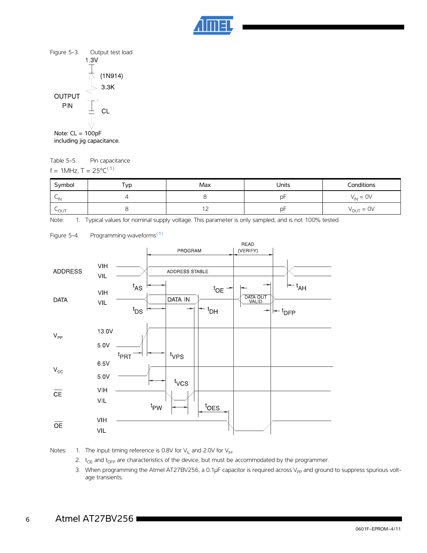



Note: CL = 100pF including jig capacitance.

Table 5-5. Pin capacitance f = 1MHz,  $T = 25^{\circ}C^{(1)}$ 

| Symbol    | $\tau_{VD}$ | Max | Units | Conditions                   |
|-----------|-------------|-----|-------|------------------------------|
| $\sim$ IN |             |     | рF    | $V_{IN} = OV$                |
| LOUT      |             | $-$ | D⊦    | $V_{\text{OUT}} = \text{OV}$ |

Note: 1. Typical values for nominal supply voltage. This parameter is only sampled, and is not 100% tested.



Figure 5-4. Programming waveforms<sup>[\(1\)](#page-5-0)</sup>

<span id="page-5-0"></span>Notes: 1. The input timing reference is 0.8V for  $V_{\parallel L}$  and 2.0V for  $V_{\parallel H}$ .

- 2.  $t_{OE}$  and  $t_{DFP}$  are characteristics of the device, but must be accommodated by the programmer.
- 3. When programming the Atmel AT27BV256, a 0.1µF capacitor is required across V<sub>PP</sub> and ground to suppress spurious voltage transients.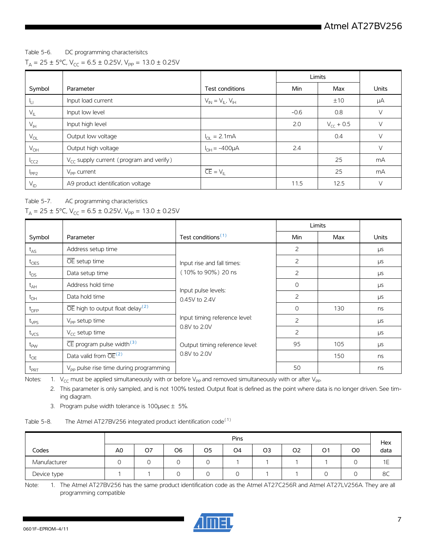#### Table 5-6. DC programming characterisitcs

|  |  |  |  |  |  | $T_A = 25 \pm 5^{\circ}$ C, V <sub>CC</sub> = 6.5 ± 0.25V, V <sub>PP</sub> = 13.0 ± 0.25V |
|--|--|--|--|--|--|-------------------------------------------------------------------------------------------|
|--|--|--|--|--|--|-------------------------------------------------------------------------------------------|

|                  |                                                     |                                 | Limits |                |              |
|------------------|-----------------------------------------------------|---------------------------------|--------|----------------|--------------|
| Symbol           | Parameter                                           | Test conditions                 | Min    | Max            | <b>Units</b> |
|                  | Input load current                                  | $V_{IN} = V_{IL}$ , $V_{IH}$    |        | ±10            | μA           |
| $V_{\parallel}$  | Input low level                                     |                                 | $-0.6$ | 0.8            | V            |
| $V_{\text{IH}}$  | Input high level                                    |                                 | 2.0    | $V_{CC}$ + 0.5 | V            |
| $V_{OL}$         | Output low voltage                                  | $I_{\text{OI}} = 2.1 \text{mA}$ |        | 0.4            | V            |
| $V_{OH}$         | Output high voltage                                 | $I_{OH} = -400 \mu A$           | 2.4    |                | $\vee$       |
| <sup>I</sup> CC2 | $V_{\text{CC}}$ supply current (program and verify) |                                 |        | 25             | mA           |
| $I_{PP2}$        | $V_{\text{pp}}$ current                             | $CE = V_{\parallel}$            |        | 25             | mA           |
| $V_{ID}$         | A9 product identification voltage                   |                                 | 11.5   | 12.5           | $\vee$       |

Table 5-7. AC programming characteristics

### $T_A = 25 \pm 5^{\circ}$ C, V<sub>CC</sub> = 6.5 ± 0.25V, V<sub>PP</sub> = 13.0 ± 0.25V

|                  |                                                           |                                                                                          |                | Limits |              |
|------------------|-----------------------------------------------------------|------------------------------------------------------------------------------------------|----------------|--------|--------------|
| Symbol           | Parameter                                                 | Test conditions <sup>(1)</sup>                                                           | Min            | Max    | <b>Units</b> |
| $t_{AS}$         | Address setup time                                        |                                                                                          | 2              |        | μs           |
| $t_{\text{OES}}$ | OE setup time                                             | Input rise and fall times:<br>(10% to 90%) 20 ns<br>Input pulse levels:<br>0.45V to 2.4V | 2              |        | μs           |
| $t_{DS}$         | Data setup time                                           |                                                                                          | 2              |        | $\mu s$      |
| $t_{AH}$         | Address hold time                                         |                                                                                          | $\Omega$       |        | $\mu s$      |
| $t_{DH}$         | Data hold time                                            |                                                                                          | 2              |        | <b>LIS</b>   |
| $t_{\text{DFP}}$ | $\overline{OE}$ high to output float delay <sup>(2)</sup> |                                                                                          | $\Omega$       | 130    | ns           |
| $t_{VPS}$        | V <sub>pp</sub> setup time                                | Input timing reference level:                                                            | $\overline{2}$ |        | μs           |
| $t_{VCS}$        | $V_{\text{CC}}$ setup time                                | 0.8V to 2.0V                                                                             | 2              |        | $\mu s$      |
| $t_{\text{PW}}$  | $\overline{\text{CE}}$ program pulse width <sup>(3)</sup> | Output timing reference level:                                                           | 95             | 105    | <b>LIS</b>   |
| $t_{OE}$         | Data valid from $\overline{OE}^{(2)}$                     | 0.8V to 2.0V                                                                             |                | 150    | ns           |
| $t_{PRT}$        | V <sub>pp</sub> pulse rise time during programming        |                                                                                          | 50             |        | ns           |

<span id="page-6-1"></span><span id="page-6-0"></span>Notes: 1.  $V_{CC}$  must be applied simultaneously with or before V<sub>PP</sub> and removed simultaneously with or after V<sub>PP</sub>.

2. This parameter is only sampled, and is not 100% tested. Output float is defined as the point where data is no longer driven. See timing diagram.

3. Program pulse width tolerance is 100 $\mu$ sec  $\pm$  5%.

<span id="page-6-2"></span>

| The Atmel AT27BV256 integrated product identification code <sup>(1)</sup><br>Table 5-8. |  |
|-----------------------------------------------------------------------------------------|--|
|-----------------------------------------------------------------------------------------|--|

|              | <b>Pins</b>    |    |                 |    | Hex            |                |                |                |                |      |
|--------------|----------------|----|-----------------|----|----------------|----------------|----------------|----------------|----------------|------|
| Codes        | A <sub>0</sub> | O7 | O <sub>6</sub>  | O5 | O <sub>4</sub> | O <sub>3</sub> | O <sub>2</sub> | O <sub>1</sub> | O <sub>0</sub> | data |
| Manufacturer |                |    | 0               |    |                |                |                |                |                | ΙE   |
| Device type  |                |    | $\sqrt{2}$<br>U |    | ◡              |                |                | ◡              | U              | 8C   |

Note: 1. The Atmel AT27BV256 has the same product identification code as the Atmel AT27C256R and Atmel AT27LV256A. They are all programming compatible

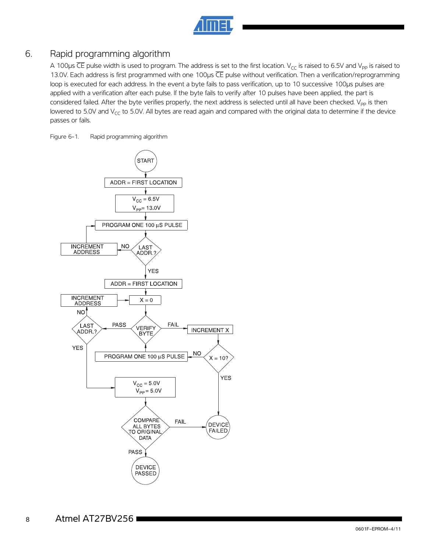## 6. Rapid programming algorithm

A 100 $\mu$ s  $\overline{CE}$  pulse width is used to program. The address is set to the first location. V<sub>CC</sub> is raised to 6.5V and V<sub>PP</sub> is raised to 13.0V. Each address is first programmed with one 100µs CE pulse without verification. Then a verification/reprogramming loop is executed for each address. In the event a byte fails to pass verification, up to 10 successive 100µs pulses are applied with a verification after each pulse. If the byte fails to verify after 10 pulses have been applied, the part is considered failed. After the byte verifies properly, the next address is selected until all have been checked. V<sub>PP</sub> is then lowered to 5.0V and  $V_{CC}$  to 5.0V. All bytes are read again and compared with the original data to determine if the device passes or fails.

Figure 6-1. Rapid programming algorithm

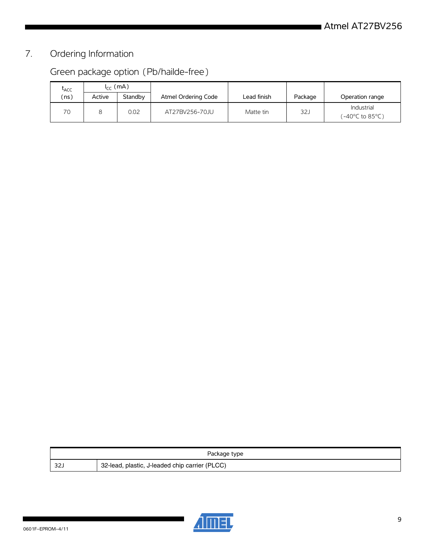# 7. Ordering Information

# Green package option (Pb/hailde-free)

| LACC | $I_{cr}$ (mA) |         |                     |             |                 |                                                        |  |
|------|---------------|---------|---------------------|-------------|-----------------|--------------------------------------------------------|--|
| (ns) | Active        | Standby | Atmel Ordering Code | Lead finish | Package         | Operation range                                        |  |
| 70   |               | 0.02    | AT27BV256-70JU      | Matte tin   | 32 <sub>1</sub> | Industrial<br>$(-40^{\circ}C \text{ to } 85^{\circ}C)$ |  |

| Package type |                                                |  |  |  |
|--------------|------------------------------------------------|--|--|--|
| $\sim$       | 32-lead, plastic, J-leaded chip carrier (PLCC) |  |  |  |

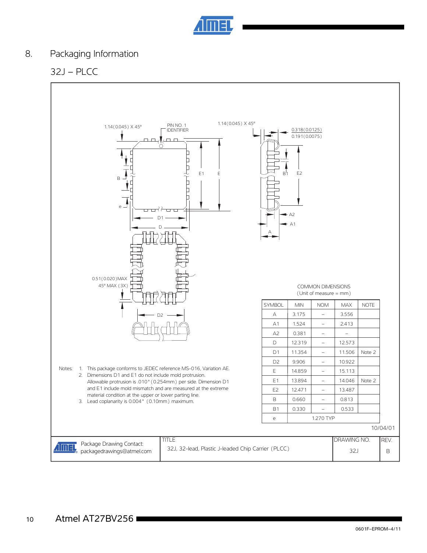

## 8. Packaging Information

## 32J – PLCC

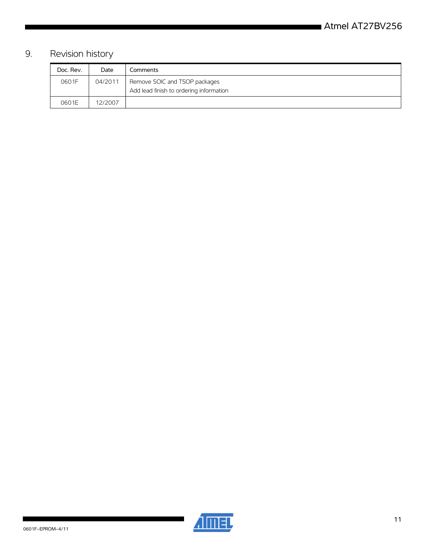# 9. Revision history

| Doc. Rev. | Date    | Comments                                                                 |
|-----------|---------|--------------------------------------------------------------------------|
| 0601F     | 04/2011 | Remove SOIC and TSOP packages<br>Add lead finish to ordering information |
|           |         |                                                                          |
| 0601E     | 12/2007 |                                                                          |